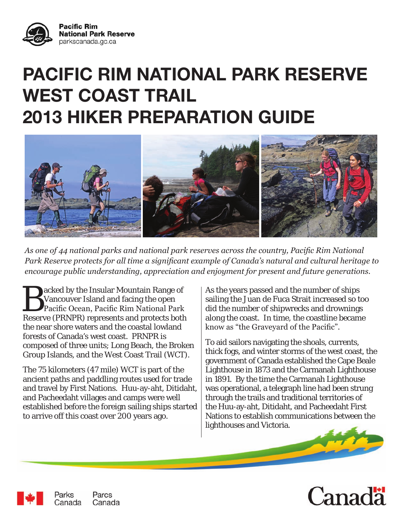

# **PACIFIC RIM NATIONAL PARK RESERVE WEST COAST TRAIL 2013 HIKER PREPARATION GUIDE**



*As one of 44 national parks and national park reserves across the country, Pacific Rim National Park Reserve protects for all time a significant example of Canada's natural and cultural heritage to encourage public understanding, appreciation and enjoyment for present and future generations.*

**Backed by the Insular Mountain Range of Vancouver Island and facing the open<br>Pacific Ocean, Pacific Rim National Park<br>Reserve (BBNBB) represents and protects both** Vancouver Island and facing the open Reserve (PRNPR) represents and protects both the near shore waters and the coastal lowland forests of Canada's west coast. PRNPR is composed of three units; Long Beach, the Broken Group Islands, and the West Coast Trail (WCT).

The 75 kilometers (47 mile) WCT is part of the ancient paths and paddling routes used for trade and travel by First Nations. Huu-ay-aht, Ditidaht, and Pacheedaht villages and camps were well established before the foreign sailing ships started to arrive off this coast over 200 years ago.

As the years passed and the number of ships sailing the Juan de Fuca Strait increased so too did the number of shipwrecks and drownings along the coast. In time, the coastline became know as "the Graveyard of the Pacific".

To aid sailors navigating the shoals, currents, thick fogs, and winter storms of the west coast, the government of Canada established the Cape Beale Lighthouse in 1873 and the Carmanah Lighthouse in 1891. By the time the Carmanah Lighthouse was operational, a telegraph line had been strung through the trails and traditional territories of the Huu-ay-aht, Ditidaht, and Pacheedaht First Nations to establish communications between the lighthouses and Victoria.





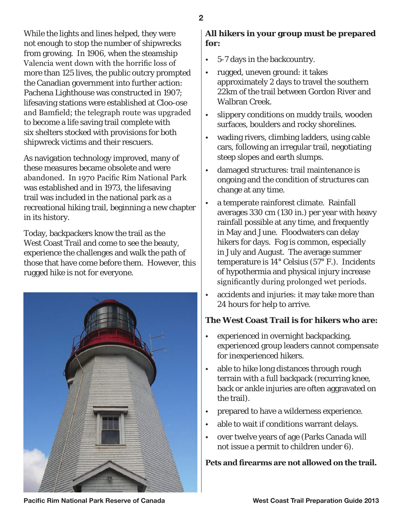While the lights and lines helped, they were not enough to stop the number of shipwrecks from growing. In 1906, when the steamship Valencia went down with the horrific loss of more than 125 lives, the public outcry prompted the Canadian government into further action: Pachena Lighthouse was constructed in 1907; lifesaving stations were established at Cloo-ose and Bamfield; the telegraph route was upgraded to become a life saving trail complete with six shelters stocked with provisions for both shipwreck victims and their rescuers.

As navigation technology improved, many of these measures became obsolete and were abandoned. In 1970 Pacific Rim National Park was established and in 1973, the lifesaving trail was included in the national park as a recreational hiking trail, beginning a new chapter in its history.

Today, backpackers know the trail as the West Coast Trail and come to see the beauty, experience the challenges and walk the path of those that have come before them. However, this rugged hike is not for everyone.



### **All hikers in your group must be prepared for:**

- 5-7 days in the backcountry.
- rugged, uneven ground: it takes approximately 2 days to travel the southern 22km of the trail between Gordon River and Walbran Creek.
- slippery conditions on muddy trails, wooden surfaces, boulders and rocky shorelines.
- wading rivers, climbing ladders, using cable cars, following an irregular trail, negotiating steep slopes and earth slumps.
- damaged structures: trail maintenance is ongoing and the condition of structures can change at any time.
- a temperate rainforest climate. Rainfall averages 330 cm (130 in.) per year with heavy rainfall possible at any time, and frequently in May and June. Floodwaters can delay hikers for days. Fog is common, especially in July and August. The average summer temperature is 14° Celsius (57° F.). Incidents of hypothermia and physical injury increase significantly during prolonged wet periods.
- accidents and injuries: it may take more than 24 hours for help to arrive.

## **The West Coast Trail is for hikers who are:**

- experienced in overnight backpacking, experienced group leaders cannot compensate for inexperienced hikers.
- able to hike long distances through rough terrain with a full backpack (recurring knee, back or ankle injuries are often aggravated on the trail).
- prepared to have a wilderness experience.
- able to wait if conditions warrant delays.
- over twelve years of age (Parks Canada will not issue a permit to children under 6).

# **Pets and firearms are not allowed on the trail.**

**Pacific Rim National Park Reserve of Canada Noting the Section West Coast Trail Preparation Guide 2013**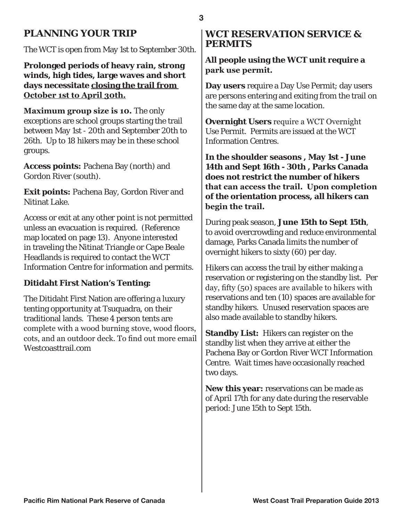# **PLANNING YOUR TRIP**

The WCT is open from May 1st to September 30th.

**Prolonged periods of heavy rain, strong winds, high tides, large waves and short days necessitate closing the trail from October 1st to April 30th.**

**Maximum group size is 10.** The only exceptions are school groups starting the trail between May 1st - 20th and September 20th to 26th. Up to 18 hikers may be in these school groups.

**Access points:** Pachena Bay (north) and Gordon River (south).

**Exit points:** Pachena Bay, Gordon River and Nitinat Lake.

Access or exit at any other point is not permitted unless an evacuation is required. (Reference map located on page 13). Anyone interested in traveling the Nitinat Triangle or Cape Beale Headlands is required to contact the WCT Information Centre for information and permits.

### **Ditidaht First Nation's Tenting:**

The Ditidaht First Nation are offering a luxury tenting opportunity at Tsuquadra, on their traditional lands. These 4 person tents are complete with a wood burning stove, wood floors, cots, and an outdoor deck. To find out more email Westcoasttrail.com

### **WCT RESERVATION SERVICE & PERMITS**

**All people using the WCT unit require a park use permit.**

**Day users** require a Day Use Permit; day users are persons entering and exiting from the trail on the same day at the same location.

**Overnight Users** require a WCT Overnight Use Permit. Permits are issued at the WCT Information Centres.

**In the shoulder seasons , May 1st - June 14th and Sept 16th - 30th , Parks Canada does not restrict the number of hikers that can access the trail. Upon completion of the orientation process, all hikers can begin the trail.**

During peak season, **June 15th to Sept 15th**, to avoid overcrowding and reduce environmental damage, Parks Canada limits the number of overnight hikers to sixty (60) per day.

Hikers can access the trail by either making a reservation or registering on the standby list. Per day, fifty (50) spaces are available to hikers with reservations and ten (10) spaces are available for standby hikers. Unused reservation spaces are also made available to standby hikers.

**Standby List:** Hikers can register on the standby list when they arrive at either the Pachena Bay or Gordon River WCT Information Centre. Wait times have occasionally reached two days.

**New this year:** reservations can be made as of April 17th for any date during the reservable period: June 15th to Sept 15th.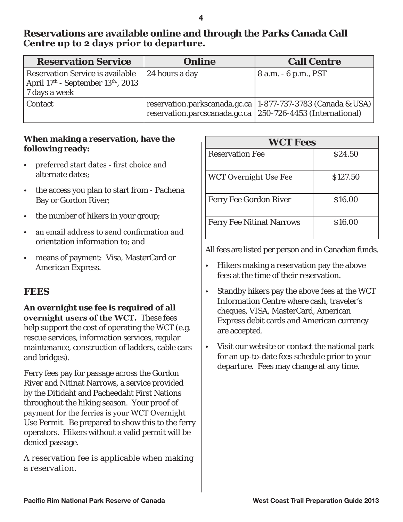**Reservations are available online and through the Parks Canada Call Centre up to 2 days prior to departure.**

| <b>Reservation Service</b>                                                                                      | <b>Online</b>                                                | <b>Call Centre</b>                                            |
|-----------------------------------------------------------------------------------------------------------------|--------------------------------------------------------------|---------------------------------------------------------------|
| Reservation Service is available<br>April 17 <sup>th</sup> - September 13 <sup>th</sup> , 2013<br>7 days a week | 24 hours a day                                               | 8 a.m. - 6 p.m., PST                                          |
| Contact                                                                                                         | reservation.parcscanada.gc.ca   250-726-4453 (International) | reservation.parkscanada.gc.ca   1-877-737-3783 (Canada & USA) |

### **When making a reservation, have the following ready:**

- preferred start dates first choice and alternate dates;
- the access you plan to start from Pachena Bay or Gordon River;
- the number of hikers in your group;
- an email address to send confirmation and orientation information to; and
- means of payment: Visa, MasterCard or American Express.

## **FEES**

### **An overnight use fee is required of all overnight users of the WCT.** These fees help support the cost of operating the WCT (e.g. rescue services, information services, regular maintenance, construction of ladders, cable cars and bridges).

Ferry fees pay for passage across the Gordon River and Nitinat Narrows, a service provided by the Ditidaht and Pacheedaht First Nations throughout the hiking season. Your proof of payment for the ferries is your WCT Overnight Use Permit. Be prepared to show this to the ferry operators. Hikers without a valid permit will be denied passage.

A reservation fee is applicable when making a reservation.

| <b>WCT Fees</b>                  |          |  |
|----------------------------------|----------|--|
| <b>Reservation Fee</b>           | \$24.50  |  |
| <b>WCT Overnight Use Fee</b>     | \$127.50 |  |
| <b>Ferry Fee Gordon River</b>    | \$16.00  |  |
| <b>Ferry Fee Nitinat Narrows</b> | \$16.00  |  |

All fees are listed per person and in Canadian funds.

- Hikers making a reservation pay the above fees at the time of their reservation.
- Standby hikers pay the above fees at the WCT Information Centre where cash, traveler's cheques, VISA, MasterCard, American Express debit cards and American currency are accepted.
- Visit our website or contact the national park for an up-to-date fees schedule prior to your departure. Fees may change at any time.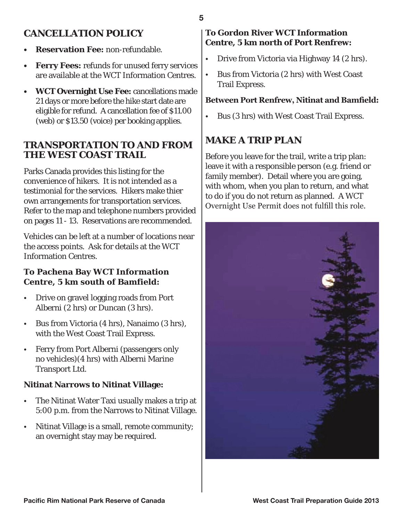# **CANCELLATION POLICY**

- **• Reservation Fee:** non-refundable.
- **• Ferry Fees:** refunds for unused ferry services are available at the WCT Information Centres.
- **• WCT Overnight Use Fee:** cancellations made 21 days or more before the hike start date are eligible for refund. A cancellation fee of \$11.00 (web) or \$13.50 (voice) per booking applies.

### **TRANSPORTATION TO AND FROM THE WEST COAST TRAIL**

Parks Canada provides this listing for the convenience of hikers. It is not intended as a testimonial for the services. Hikers make thier own arrangements for transportation services. Refer to the map and telephone numbers provided on pages 11 - 13. Reservations are recommended.

Vehicles can be left at a number of locations near the access points. Ask for details at the WCT Information Centres.

### **To Pachena Bay WCT Information Centre, 5 km south of Bamfield:**

- Drive on gravel logging roads from Port Alberni (2 hrs) or Duncan (3 hrs).
- Bus from Victoria (4 hrs), Nanaimo (3 hrs), with the West Coast Trail Express.
- Ferry from Port Alberni (passengers only no vehicles)(4 hrs) with Alberni Marine Transport Ltd.

### **Nitinat Narrows to Nitinat Village:**

- The Nitinat Water Taxi usually makes a trip at 5:00 p.m. from the Narrows to Nitinat Village.
- Nitinat Village is a small, remote community; an overnight stay may be required.

### **To Gordon River WCT Information Centre, 5 km north of Port Renfrew:**

- Drive from Victoria via Highway 14 (2 hrs).
- Bus from Victoria (2 hrs) with West Coast Trail Express.

### **Between Port Renfrew, Nitinat and Bamfield:**

• Bus (3 hrs) with West Coast Trail Express.

# **MAKE A TRIP PLAN**

Before you leave for the trail, write a trip plan: leave it with a responsible person (e.g. friend or family member). Detail where you are going, with whom, when you plan to return, and what to do if you do not return as planned. A WCT Overnight Use Permit does not fulfill this role.

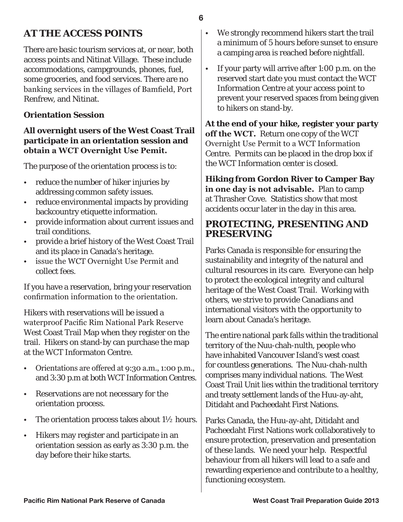# **AT THE ACCESS POINTS**

There are basic tourism services at, or near, both access points and Nitinat Village. These include accommodations, campgrounds, phones, fuel, some groceries, and food services. There are no banking services in the villages of Bamfield, Port Renfrew, and Nitinat.

### **Orientation Session**

### **All overnight users of the West Coast Trail participate in an orientation session and obtain a WCT Overnight Use Pemit.**

The purpose of the orientation process is to:

- reduce the number of hiker injuries by addressing common safety issues.
- reduce environmental impacts by providing backcountry etiquette information.
- provide information about current issues and trail conditions.
- provide a brief history of the West Coast Trail and its place in Canada's heritage.
- issue the WCT Overnight Use Permit and collect fees.

If you have a reservation, bring your reservation confirmation information to the orientation.

Hikers with reservations will be issued a waterproof Pacific Rim National Park Reserve West Coast Trail Map when they register on the trail. Hikers on stand-by can purchase the map at the WCT Informaton Centre.

- Orientations are offered at 9:30 a.m., 1:00 p.m., and 3:30 p.m at both WCT Information Centres.
- Reservations are not necessary for the orientation process.
- The orientation process takes about 1½ hours.
- Hikers may register and participate in an orientation session as early as 3:30 p.m. the day before their hike starts.
- We strongly recommend hikers start the trail a minimum of 5 hours before sunset to ensure a camping area is reached before nightfall.
- If your party will arrive after 1:00 p.m. on the reserved start date you must contact the WCT Information Centre at your access point to prevent your reserved spaces from being given to hikers on stand-by.

**At the end of your hike, register your party off the WCT.** Return one copy of the WCT Overnight Use Permit to a WCT Information Centre. Permits can be placed in the drop box if the WCT Information center is closed.

**Hiking from Gordon River to Camper Bay in one day is not advisable.** Plan to camp at Thrasher Cove. Statistics show that most accidents occur later in the day in this area.

### **PROTECTING, PRESENTING AND PRESERVING**

Parks Canada is responsible for ensuring the sustainability and integrity of the natural and cultural resources in its care. Everyone can help to protect the ecological integrity and cultural heritage of the West Coast Trail. Working with others, we strive to provide Canadians and international visitors with the opportunity to learn about Canada's heritage.

The entire national park falls within the traditional territory of the Nuu-chah-nulth, people who have inhabited Vancouver Island's west coast for countless generations. The Nuu-chah-nulth comprises many individual nations. The West Coast Trail Unit lies within the traditional territory and treaty settlement lands of the Huu-ay-aht, Ditidaht and Pacheedaht First Nations.

Parks Canada, the Huu-ay-aht, Ditidaht and Pacheedaht First Nations work collaboratively to ensure protection, preservation and presentation of these lands. We need your help. Respectful behaviour from all hikers will lead to a safe and rewarding experience and contribute to a healthy, functioning ecosystem.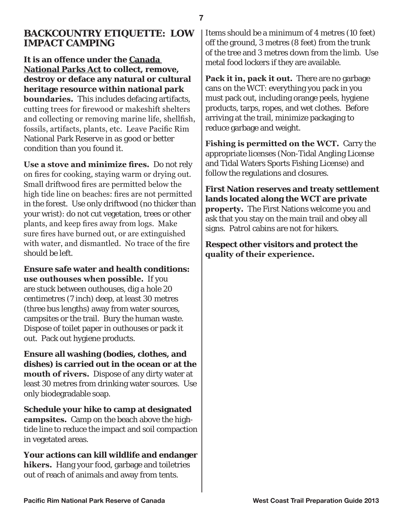### **BACKCOUNTRY ETIQUETTE: LOW IMPACT CAMPING**

**It is an offence under the Canada National Parks Act to collect, remove, destroy or deface any natural or cultural heritage resource within national park boundaries.** This includes defacing artifacts, cutting trees for firewood or makeshift shelters and collecting or removing marine life, shellfish, fossils, artifacts, plants, etc. Leave Pacific Rim National Park Reserve in as good or better condition than you found it.

**Use a stove and minimize fires.** Do not rely on fires for cooking, staying warm or drying out. Small driftwood fires are permitted below the high tide line on beaches: fires are not permitted in the forest. Use only driftwood (no thicker than your wrist): do not cut vegetation, trees or other plants, and keep fires away from logs. Make sure fires have burned out, or are extinguished with water, and dismantled. No trace of the fire should be left.

**Ensure safe water and health conditions: use outhouses when possible.** If you are stuck between outhouses, dig a hole 20 centimetres (7 inch) deep, at least 30 metres (three bus lengths) away from water sources, campsites or the trail. Bury the human waste. Dispose of toilet paper in outhouses or pack it out. Pack out hygiene products.

**Ensure all washing (bodies, clothes, and dishes) is carried out in the ocean or at the mouth of rivers.** Dispose of any dirty water at least 30 metres from drinking water sources. Use only biodegradable soap.

**Schedule your hike to camp at designated campsites.** Camp on the beach above the hightide line to reduce the impact and soil compaction in vegetated areas.

**Your actions can kill wildlife and endanger hikers.** Hang your food, garbage and toiletries out of reach of animals and away from tents.

Items should be a minimum of 4 metres (10 feet) off the ground, 3 metres (8 feet) from the trunk of the tree and 3 metres down from the limb. Use metal food lockers if they are available.

**Pack it in, pack it out.** There are no garbage cans on the WCT: everything you pack in you must pack out, including orange peels, hygiene products, tarps, ropes, and wet clothes. Before arriving at the trail, minimize packaging to reduce garbage and weight.

**Fishing is permitted on the WCT.** Carry the appropriate licenses (Non-Tidal Angling License and Tidal Waters Sports Fishing License) and follow the regulations and closures.

**First Nation reserves and treaty settlement lands located along the WCT are private property.** The First Nations welcome you and ask that you stay on the main trail and obey all signs. Patrol cabins are not for hikers.

**Respect other visitors and protect the quality of their experience.**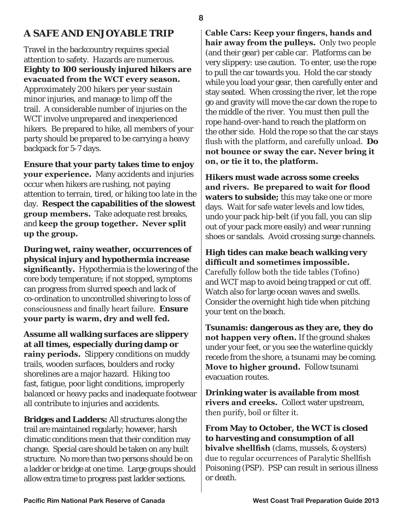# **A SAFE AND ENJOYABLE TRIP**

Travel in the backcountry requires special attention to safety. Hazards are numerous. **Eighty to 100 seriously injured hikers are evacuated from the WCT every season.**  Approximately 200 hikers per year sustain minor injuries, and manage to limp off the trail. A considerable number of injuries on the WCT involve unprepared and inexperienced hikers. Be prepared to hike, all members of your party should be prepared to be carrying a heavy backpack for 5-7 days.

**Ensure that your party takes time to enjoy your experience.** Many accidents and injuries occur when hikers are rushing, not paying attention to terrain, tired, or hiking too late in the day. **Respect the capabilities of the slowest group members.** Take adequate rest breaks, and **keep the group together. Never split up the group.**

**During wet, rainy weather, occurrences of physical injury and hypothermia increase significantly.** Hypothermia is the lowering of the core body temperature; if not stopped, symptoms can progress from slurred speech and lack of co-ordination to uncontrolled shivering to loss of consciousness and finally heart failure. **Ensure your party is warm, dry and well fed.**

**Assume all walking surfaces are slippery at all times, especially during damp or rainy periods.** Slippery conditions on muddy trails, wooden surfaces, boulders and rocky shorelines are a major hazard. Hiking too fast, fatigue, poor light conditions, improperly balanced or heavy packs and inadequate footwear all contribute to injuries and accidents.

**Bridges and Ladders:** All structures along the trail are maintained regularly; however, harsh climatic conditions mean that their condition may change. Special care should be taken on any built structure. No more than two persons should be on a ladder or bridge at one time. Large groups should allow extra time to progress past ladder sections.

**Cable Cars: Keep your fingers, hands and hair away from the pulleys.** Only two people (and their gear) per cable car. Platforms can be very slippery: use caution. To enter, use the rope to pull the car towards you. Hold the car steady while you load your gear, then carefully enter and stay seated. When crossing the river, let the rope go and gravity will move the car down the rope to the middle of the river. You must then pull the rope hand-over-hand to reach the platform on the other side. Hold the rope so that the car stays flush with the platform, and carefully unload. **Do not bounce or sway the car. Never bring it on, or tie it to, the platform.**

**Hikers must wade across some creeks and rivers. Be prepared to wait for flood waters to subside;** this may take one or more days. Wait for safe water levels and low tides, undo your pack hip-belt (if you fall, you can slip out of your pack more easily) and wear running shoes or sandals. Avoid crossing surge channels.

**High tides can make beach walking very difficult and sometimes impossible.** Carefully follow both the tide tables (Tofino) and WCT map to avoid being trapped or cut off. Watch also for large ocean waves and swells. Consider the overnight high tide when pitching your tent on the beach.

**Tsunamis: dangerous as they are, they do not happen very often.** If the ground shakes under your feet, or you see the waterline quickly recede from the shore, a tsunami may be coming. **Move to higher ground.** Follow tsunami evacuation routes.

**Drinking water is available from most rivers and creeks.** Collect water upstream, then purify, boil or filter it.

**From May to October, the WCT is closed to harvesting and consumption of all bivalve shellfish** (clams, mussels, & oysters) due to regular occurrences of Paralytic Shellfish Poisoning (PSP). PSP can result in serious illness or death.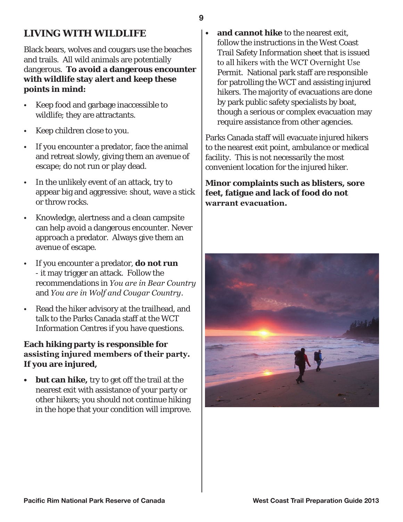# **LIVING WITH WILDLIFE**

Black bears, wolves and cougars use the beaches and trails. All wild animals are potentially dangerous. **To avoid a dangerous encounter with wildlife stay alert and keep these points in mind:**

- Keep food and garbage inaccessible to wildlife; they are attractants.
- Keep children close to you.
- If you encounter a predator, face the animal and retreat slowly, giving them an avenue of escape; do not run or play dead.
- In the unlikely event of an attack, try to appear big and aggressive: shout, wave a stick or throw rocks.
- Knowledge, alertness and a clean campsite can help avoid a dangerous encounter. Never approach a predator. Always give them an avenue of escape.
- If you encounter a predator, **do not run**  - it may trigger an attack. Follow the recommendations in *You are in Bear Country*  and *You are in Wolf and Cougar Country*.
- Read the hiker advisory at the trailhead, and talk to the Parks Canada staff at the WCT Information Centres if you have questions.

### **Each hiking party is responsible for assisting injured members of their party. If you are injured,**

**• but can hike,** try to get off the trail at the nearest exit with assistance of your party or other hikers; you should not continue hiking in the hope that your condition will improve.

**• and cannot hike** to the nearest exit, follow the instructions in the West Coast Trail Safety Information sheet that is issued to all hikers with the WCT Overnight Use Permit. National park staff are responsible for patrolling the WCT and assisting injured hikers. The majority of evacuations are done by park public safety specialists by boat, though a serious or complex evacuation may require assistance from other agencies.

Parks Canada staff will evacuate injured hikers to the nearest exit point, ambulance or medical facility. This is not necessarily the most convenient location for the injured hiker.

**Minor complaints such as blisters, sore feet, fatigue and lack of food do not warrant evacuation.**

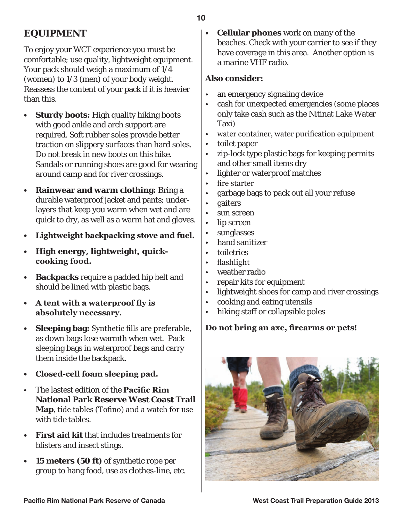# **EQUIPMENT**

To enjoy your WCT experience you must be comfortable; use quality, lightweight equipment. Your pack should weigh a maximum of 1/4 (women) to 1/3 (men) of your body weight. Reassess the content of your pack if it is heavier than this.

- **• Sturdy boots:** High quality hiking boots with good ankle and arch support are required. Soft rubber soles provide better traction on slippery surfaces than hard soles. Do not break in new boots on this hike. Sandals or running shoes are good for wearing around camp and for river crossings.
- **• Rainwear and warm clothing:** Bring a durable waterproof jacket and pants; underlayers that keep you warm when wet and are quick to dry, as well as a warm hat and gloves.
- **• Lightweight backpacking stove and fuel.**
- **• High energy, lightweight, quickcooking food.**
- **• Backpacks** require a padded hip belt and should be lined with plastic bags.
- **• A tent with a waterproof fly is absolutely necessary.**
- **• Sleeping bag:** Synthetic fills are preferable, as down bags lose warmth when wet. Pack sleeping bags in waterproof bags and carry them inside the backpack.
- **• Closed-cell foam sleeping pad.**
- The lastest edition of the **Pacific Rim National Park Reserve West Coast Trail Map**, tide tables (Tofino) and a watch for use with tide tables.
- **• First aid kit** that includes treatments for blisters and insect stings.
- **• 15 meters (50 ft)** of synthetic rope per group to hang food, use as clothes-line, etc.

**• Cellular phones** work on many of the beaches. Check with your carrier to see if they have coverage in this area. Another option is a marine VHF radio.

### **Also consider:**

- an emergency signaling device
- cash for unexpected emergencies (some places only take cash such as the Nitinat Lake Water Taxi)
- water container, water purification equipment
- toilet paper
- zip-lock type plastic bags for keeping permits and other small items dry
- lighter or waterproof matches
- fire starter
- garbage bags to pack out all your refuse
- gaiters
- sun screen
- lip screen
- sunglasses
- hand sanitizer
- toiletries
- flashlight
- weather radio
- repair kits for equipment
- lightweight shoes for camp and river crossings
- cooking and eating utensils
- hiking staff or collapsible poles

### **Do not bring an axe, firearms or pets!**

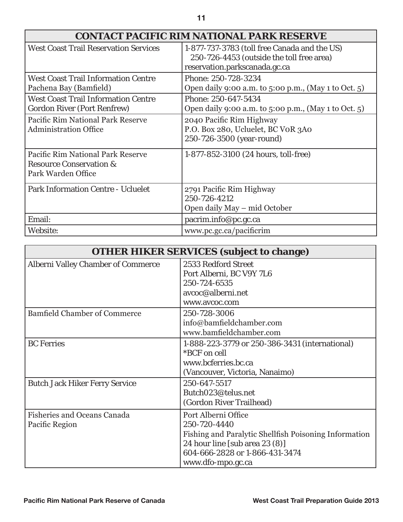| <b>West Coast Trail Reservation Services</b>                                                  | 1-877-737-3783 (toll free Canada and the US)<br>250-726-4453 (outside the toll free area)<br>reservation.parkscanada.gc.ca |
|-----------------------------------------------------------------------------------------------|----------------------------------------------------------------------------------------------------------------------------|
| <b>West Coast Trail Information Centre</b><br>Pachena Bay (Bamfield)                          | Phone: 250-728-3234<br>Open daily 9:00 a.m. to 5:00 p.m., (May 1 to Oct. 5)                                                |
| <b>West Coast Trail Information Centre</b><br><b>Gordon River (Port Renfrew)</b>              | Phone: 250-647-5434<br>Open daily 9:00 a.m. to 5:00 p.m., (May 1 to Oct. 5)                                                |
| Pacific Rim National Park Reserve<br>Administration Office                                    | 2040 Pacific Rim Highway<br>P.O. Box 280, Ucluelet, BC VOR 3A0<br>250-726-3500 (year-round)                                |
| Pacific Rim National Park Reserve<br><b>Resource Conservation &amp;</b><br>Park Warden Office | 1-877-852-3100 (24 hours, toll-free)                                                                                       |
| <b>Park Information Centre - Ucluelet</b>                                                     | 2791 Pacific Rim Highway<br>250-726-4212<br>Open daily May – mid October                                                   |
| Email:                                                                                        | pacrim.info@pc.gc.ca                                                                                                       |
| Website:                                                                                      | www.pc.gc.ca/pacificrim                                                                                                    |

| <b>OTHER HIKER SERVICES (subject to change)</b>      |                                                                                                                                                                                       |  |
|------------------------------------------------------|---------------------------------------------------------------------------------------------------------------------------------------------------------------------------------------|--|
| <b>Alberni Valley Chamber of Commerce</b>            | 2533 Redford Street<br>Port Alberni, BC V9Y 7L6<br>250-724-6535<br>avcoc@alberni.net<br>www.avcoc.com                                                                                 |  |
| <b>Bamfield Chamber of Commerce</b>                  | 250-728-3006<br>info@bamfieldchamber.com<br>www.bamfieldchamber.com                                                                                                                   |  |
| <b>BC</b> Ferries                                    | 1-888-223-3779 or 250-386-3431 (international)<br>*BCF on cell<br>www.bcferries.bc.ca<br>(Vancouver, Victoria, Nanaimo)                                                               |  |
| <b>Butch Jack Hiker Ferry Service</b>                | 250-647-5517<br>Butch023@telus.net<br>(Gordon River Trailhead)                                                                                                                        |  |
| <b>Fisheries and Oceans Canada</b><br>Pacific Region | Port Alberni Office<br>250-720-4440<br>Fishing and Paralytic Shellfish Poisoning Information<br>24 hour line [sub area 23 (8)]<br>604-666-2828 or 1-866-431-3474<br>www.dfo-mpo.gc.ca |  |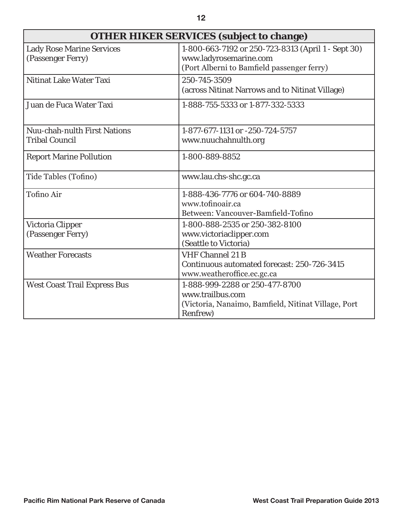| <b>OTHER HIKER SERVICES (subject to change)</b>       |                                                                                                                            |  |
|-------------------------------------------------------|----------------------------------------------------------------------------------------------------------------------------|--|
| <b>Lady Rose Marine Services</b><br>(Passenger Ferry) | 1-800-663-7192 or 250-723-8313 (April 1 - Sept 30)<br>www.ladyrosemarine.com<br>(Port Alberni to Bamfield passenger ferry) |  |
| <b>Nitinat Lake Water Taxi</b>                        | 250-745-3509<br>(across Nitinat Narrows and to Nitinat Village)                                                            |  |
| Juan de Fuca Water Taxi                               | 1-888-755-5333 or 1-877-332-5333                                                                                           |  |
| <b>Nuu-chah-nulth First Nations</b>                   | 1-877-677-1131 or -250-724-5757                                                                                            |  |
| <b>Tribal Council</b>                                 | www.nuuchahnulth.org                                                                                                       |  |
| <b>Report Marine Pollution</b>                        | 1-800-889-8852                                                                                                             |  |
| Tide Tables (Tofino)                                  | www.lau.chs-shc.gc.ca                                                                                                      |  |
| <b>Tofino Air</b>                                     | 1-888-436-7776 or 604-740-8889<br>www.tofinoair.ca<br>Between: Vancouver-Bamfield-Tofino                                   |  |
| Victoria Clipper                                      | 1-800-888-2535 or 250-382-8100                                                                                             |  |
| (Passenger Ferry)                                     | www.victoriaclipper.com                                                                                                    |  |
|                                                       | (Seattle to Victoria)                                                                                                      |  |
| <b>Weather Forecasts</b>                              | <b>VHF Channel 21 B</b>                                                                                                    |  |
|                                                       | Continuous automated forecast: 250-726-3415                                                                                |  |
|                                                       | www.weatheroffice.ec.gc.ca                                                                                                 |  |
| <b>West Coast Trail Express Bus</b>                   | 1-888-999-2288 or 250-477-8700                                                                                             |  |
|                                                       | www.trailbus.com                                                                                                           |  |
|                                                       | (Victoria, Nanaimo, Bamfield, Nitinat Village, Port                                                                        |  |
|                                                       | Renfrew)                                                                                                                   |  |